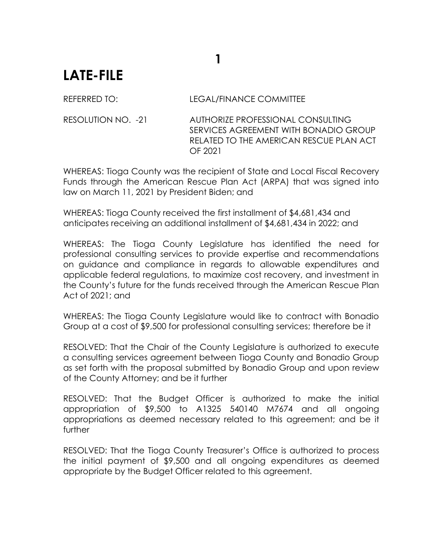## **1**

## **LATE-FILE**

REFERRED TO: LEGAL/FINANCE COMMITTEE

RESOLUTION NO. -21 AUTHORIZE PROFESSIONAL CONSULTING SERVICES AGREEMENT WITH BONADIO GROUP RELATED TO THE AMERICAN RESCUE PLAN ACT OF 2021

WHEREAS: Tioga County was the recipient of State and Local Fiscal Recovery Funds through the American Rescue Plan Act (ARPA) that was signed into law on March 11, 2021 by President Biden; and

WHEREAS: Tioga County received the first installment of \$4,681,434 and anticipates receiving an additional installment of \$4,681,434 in 2022; and

WHEREAS: The Tioga County Legislature has identified the need for professional consulting services to provide expertise and recommendations on guidance and compliance in regards to allowable expenditures and applicable federal regulations, to maximize cost recovery, and investment in the County's future for the funds received through the American Rescue Plan Act of 2021; and

WHEREAS: The Tioga County Legislature would like to contract with Bonadio Group at a cost of \$9,500 for professional consulting services; therefore be it

RESOLVED: That the Chair of the County Legislature is authorized to execute a consulting services agreement between Tioga County and Bonadio Group as set forth with the proposal submitted by Bonadio Group and upon review of the County Attorney; and be it further

RESOLVED: That the Budget Officer is authorized to make the initial appropriation of \$9,500 to A1325 540140 M7674 and all ongoing appropriations as deemed necessary related to this agreement; and be it further

RESOLVED: That the Tioga County Treasurer's Office is authorized to process the initial payment of \$9,500 and all ongoing expenditures as deemed appropriate by the Budget Officer related to this agreement.